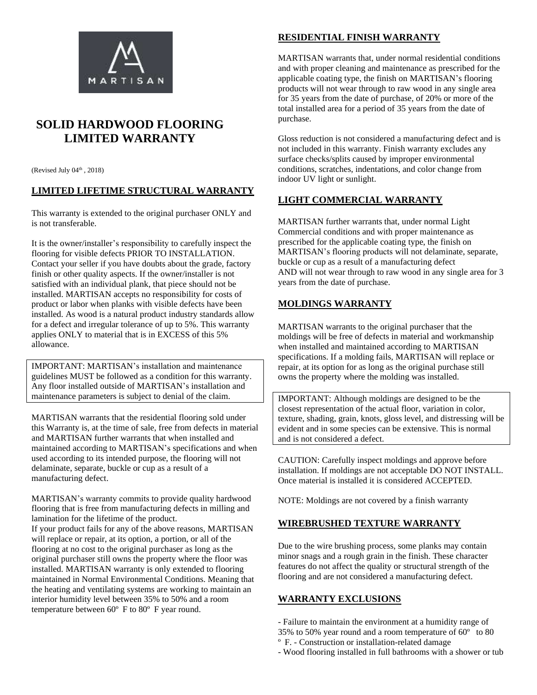

# **SOLID HARDWOOD FLOORING LIMITED WARRANTY**

(Revised July  $04<sup>th</sup>$ , 2018)

## **LIMITED LIFETIME STRUCTURAL WARRANTY**

This warranty is extended to the original purchaser ONLY and is not transferable.

It is the owner/installer's responsibility to carefully inspect the flooring for visible defects PRIOR TO INSTALLATION. Contact your seller if you have doubts about the grade, factory finish or other quality aspects. If the owner/installer is not satisfied with an individual plank, that piece should not be installed. MARTISAN accepts no responsibility for costs of product or labor when planks with visible defects have been installed. As wood is a natural product industry standards allow for a defect and irregular tolerance of up to 5%. This warranty applies ONLY to material that is in EXCESS of this 5% allowance.

IMPORTANT: MARTISAN's installation and maintenance guidelines MUST be followed as a condition for this warranty. Any floor installed outside of MARTISAN's installation and maintenance parameters is subject to denial of the claim.

MARTISAN warrants that the residential flooring sold under this Warranty is, at the time of sale, free from defects in material and MARTISAN further warrants that when installed and maintained according to MARTISAN's specifications and when used according to its intended purpose, the flooring will not delaminate, separate, buckle or cup as a result of a manufacturing defect.

MARTISAN's warranty commits to provide quality hardwood flooring that is free from manufacturing defects in milling and lamination for the lifetime of the product. If your product fails for any of the above reasons, MARTISAN will replace or repair, at its option, a portion, or all of the flooring at no cost to the original purchaser as long as the original purchaser still owns the property where the floor was installed. MARTISAN warranty is only extended to flooring maintained in Normal Environmental Conditions. Meaning that the heating and ventilating systems are working to maintain an interior humidity level between 35% to 50% and a room temperature between  $60^{\circ}$  F to  $80^{\circ}$  F year round.

## **RESIDENTIAL FINISH WARRANTY**

MARTISAN warrants that, under normal residential conditions and with proper cleaning and maintenance as prescribed for the applicable coating type, the finish on MARTISAN's flooring products will not wear through to raw wood in any single area for 35 years from the date of purchase, of 20% or more of the total installed area for a period of 35 years from the date of purchase.

Gloss reduction is not considered a manufacturing defect and is not included in this warranty. Finish warranty excludes any surface checks/splits caused by improper environmental conditions, scratches, indentations, and color change from indoor UV light or sunlight.

## **LIGHT COMMERCIAL WARRANTY**

MARTISAN further warrants that, under normal Light Commercial conditions and with proper maintenance as prescribed for the applicable coating type, the finish on MARTISAN's flooring products will not delaminate, separate, buckle or cup as a result of a manufacturing defect AND will not wear through to raw wood in any single area for 3 years from the date of purchase.

## **MOLDINGS WARRANTY**

MARTISAN warrants to the original purchaser that the moldings will be free of defects in material and workmanship when installed and maintained according to MARTISAN specifications. If a molding fails, MARTISAN will replace or repair, at its option for as long as the original purchase still owns the property where the molding was installed.

IMPORTANT: Although moldings are designed to be the closest representation of the actual floor, variation in color, texture, shading, grain, knots, gloss level, and distressing will be evident and in some species can be extensive. This is normal and is not considered a defect.

CAUTION: Carefully inspect moldings and approve before installation. If moldings are not acceptable DO NOT INSTALL. Once material is installed it is considered ACCEPTED.

NOTE: Moldings are not covered by a finish warranty

#### **WIREBRUSHED TEXTURE WARRANTY**

Due to the wire brushing process, some planks may contain minor snags and a rough grain in the finish. These character features do not affect the quality or structural strength of the flooring and are not considered a manufacturing defect.

## **WARRANTY EXCLUSIONS**

- Failure to maintain the environment at a humidity range of
- 35% to 50% year round and a room temperature of 60º to 80
- ºF. Construction or installation-related damage
- Wood flooring installed in full bathrooms with a shower or tub